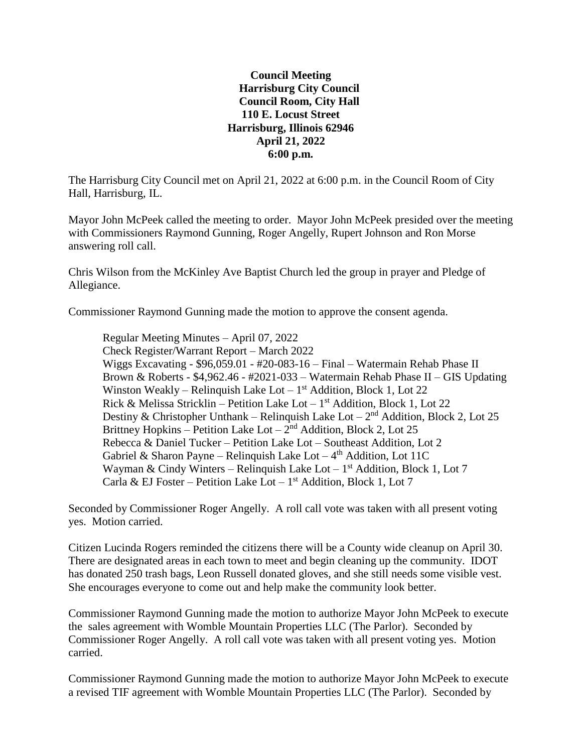## **Council Meeting Harrisburg City Council Council Room, City Hall 110 E. Locust Street Harrisburg, Illinois 62946 April 21, 2022 6:00 p.m.**

The Harrisburg City Council met on April 21, 2022 at 6:00 p.m. in the Council Room of City Hall, Harrisburg, IL.

Mayor John McPeek called the meeting to order. Mayor John McPeek presided over the meeting with Commissioners Raymond Gunning, Roger Angelly, Rupert Johnson and Ron Morse answering roll call.

Chris Wilson from the McKinley Ave Baptist Church led the group in prayer and Pledge of Allegiance.

Commissioner Raymond Gunning made the motion to approve the consent agenda.

Regular Meeting Minutes – April 07, 2022 Check Register/Warrant Report – March 2022 Wiggs Excavating - \$96,059.01 - #20-083-16 – Final – Watermain Rehab Phase II Brown & Roberts -  $$4,962.46$  -  $#2021-033$  – Watermain Rehab Phase II – GIS Updating Winston Weakly – Relinquish Lake Lot –  $1<sup>st</sup>$  Addition, Block 1, Lot 22 Rick & Melissa Stricklin – Petition Lake Lot – 1<sup>st</sup> Addition, Block 1, Lot 22 Destiny & Christopher Unthank – Relinquish Lake Lot –  $2<sup>nd</sup>$  Addition, Block 2, Lot 25 Brittney Hopkins – Petition Lake Lot –  $2<sup>nd</sup>$  Addition, Block 2, Lot 25 Rebecca & Daniel Tucker – Petition Lake Lot – Southeast Addition, Lot 2 Gabriel & Sharon Payne - Relinquish Lake Lot  $-4<sup>th</sup>$  Addition, Lot 11C Wayman & Cindy Winters – Relinquish Lake Lot  $-1$ <sup>st</sup> Addition, Block 1, Lot 7 Carla & EJ Foster – Petition Lake Lot –  $1<sup>st</sup>$  Addition, Block 1, Lot 7

Seconded by Commissioner Roger Angelly. A roll call vote was taken with all present voting yes. Motion carried.

Citizen Lucinda Rogers reminded the citizens there will be a County wide cleanup on April 30. There are designated areas in each town to meet and begin cleaning up the community. IDOT has donated 250 trash bags, Leon Russell donated gloves, and she still needs some visible vest. She encourages everyone to come out and help make the community look better.

Commissioner Raymond Gunning made the motion to authorize Mayor John McPeek to execute the sales agreement with Womble Mountain Properties LLC (The Parlor). Seconded by Commissioner Roger Angelly. A roll call vote was taken with all present voting yes. Motion carried.

Commissioner Raymond Gunning made the motion to authorize Mayor John McPeek to execute a revised TIF agreement with Womble Mountain Properties LLC (The Parlor). Seconded by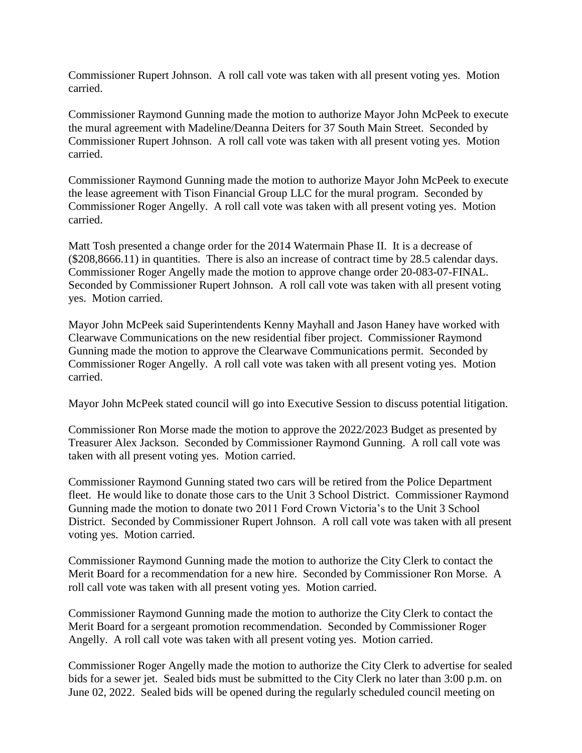Commissioner Rupert Johnson. A roll call vote was taken with all present voting yes. Motion carried.

Commissioner Raymond Gunning made the motion to authorize Mayor John McPeek to execute the mural agreement with Madeline/Deanna Deiters for 37 South Main Street. Seconded by Commissioner Rupert Johnson. A roll call vote was taken with all present voting yes. Motion carried.

Commissioner Raymond Gunning made the motion to authorize Mayor John McPeek to execute the lease agreement with Tison Financial Group LLC for the mural program. Seconded by Commissioner Roger Angelly. A roll call vote was taken with all present voting yes. Motion carried.

Matt Tosh presented a change order for the 2014 Watermain Phase II. It is a decrease of (\$208,8666.11) in quantities. There is also an increase of contract time by 28.5 calendar days. Commissioner Roger Angelly made the motion to approve change order 20-083-07-FINAL. Seconded by Commissioner Rupert Johnson. A roll call vote was taken with all present voting yes. Motion carried.

Mayor John McPeek said Superintendents Kenny Mayhall and Jason Haney have worked with Clearwave Communications on the new residential fiber project. Commissioner Raymond Gunning made the motion to approve the Clearwave Communications permit. Seconded by Commissioner Roger Angelly. A roll call vote was taken with all present voting yes. Motion carried.

Mayor John McPeek stated council will go into Executive Session to discuss potential litigation.

Commissioner Ron Morse made the motion to approve the 2022/2023 Budget as presented by Treasurer Alex Jackson. Seconded by Commissioner Raymond Gunning. A roll call vote was taken with all present voting yes. Motion carried.

Commissioner Raymond Gunning stated two cars will be retired from the Police Department fleet. He would like to donate those cars to the Unit 3 School District. Commissioner Raymond Gunning made the motion to donate two 2011 Ford Crown Victoria's to the Unit 3 School District. Seconded by Commissioner Rupert Johnson. A roll call vote was taken with all present voting yes. Motion carried.

Commissioner Raymond Gunning made the motion to authorize the City Clerk to contact the Merit Board for a recommendation for a new hire. Seconded by Commissioner Ron Morse. A roll call vote was taken with all present voting yes. Motion carried.

Commissioner Raymond Gunning made the motion to authorize the City Clerk to contact the Merit Board for a sergeant promotion recommendation. Seconded by Commissioner Roger Angelly. A roll call vote was taken with all present voting yes. Motion carried.

Commissioner Roger Angelly made the motion to authorize the City Clerk to advertise for sealed bids for a sewer jet. Sealed bids must be submitted to the City Clerk no later than 3:00 p.m. on June 02, 2022. Sealed bids will be opened during the regularly scheduled council meeting on